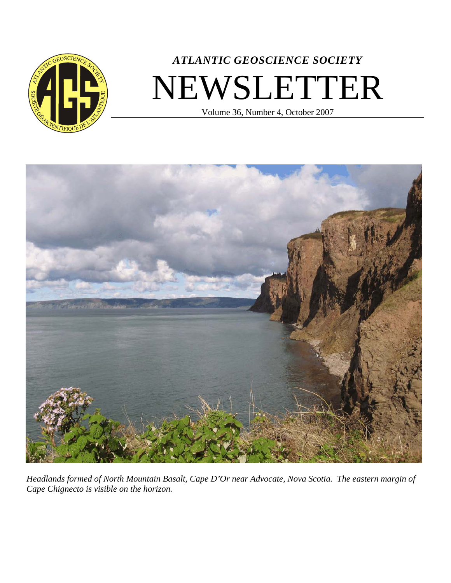

# *ATLANTIC GEOSCIENCE SOCIETY* NEWSLETTER

Volume 36, Number 4, October 2007



*Headlands formed of North Mountain Basalt, Cape D'Or near Advocate, Nova Scotia. The eastern margin of Cape Chignecto is visible on the horizon.*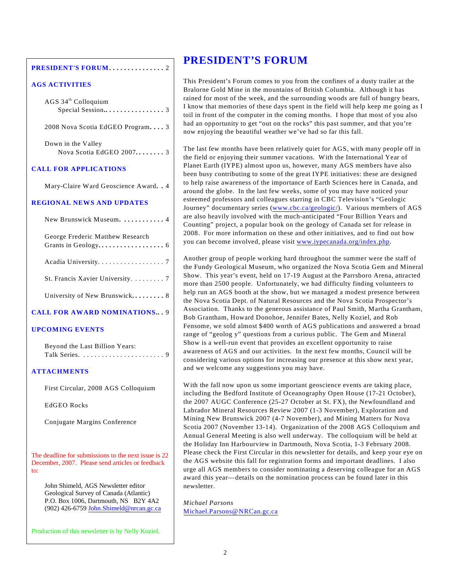#### **PRESIDENT'S FORUM...............** 2

#### **AGS ACTIVITIES**

AGS 34<sup>th</sup> Colloquium Special Session**.. . . . . . . . . . . . . . . .** 3

2008 Nova Scotia EdGEO Program**....** 3

Down in the Valley Nova Scotia EdGEO 2007**........** 3

#### **CALL FOR APPLICATIONS**

Mary-Claire Ward Geoscience Award**. .** 4

#### **REGIONAL NEWS AND UPDATES**

| New Brunswick Museum.  4         |  |
|----------------------------------|--|
| George Frederic Matthew Research |  |
| Acadia University. 7             |  |
| St. Francis Xavier University. 7 |  |
| University of New Brunswick 8    |  |
|                                  |  |

#### **CALL FOR AWARD NOMINATIONS.. .** 9

#### **UPCOMING EVENTS**

Beyond the Last Billion Years: Talk Series. . . . . . . . . . . . . . . . . . . . . . . 9

#### **ATTACHMENTS**

First Circular, 2008 AGS Colloquium

EdGEO Rocks

Conjugate Margins Conference

The deadline for submissions to the next issue is 22 December, 2007. Please send articles or feedback to:

John Shimeld, AGS Newsletter editor Geological Survey of Canada (Atlantic) P.O. Box 1006, Dartmouth, NS B2Y 4A2 (902) 426-6759 [John.Shimeld@nrcan.gc.ca](mailto:John.Shimeld@nrcan.gc.ca)

Production of this newsletter is by Nelly Koziel.

### **PRESIDENT'S FORUM**

This President's Forum comes to you from the confines of a dusty trailer at the Bralorne Gold Mine in the mountains of British Columbia. Although it has rained for most of the week, and the surrounding woods are full of hungry bears, I know that memories of these days spent in the field will help keep me going as I toil in front of the computer in the coming months. I hope that most of you also had an opportunity to get "out on the rocks" this past summer, and that you're now enjoying the beautiful weather we've had so far this fall.

The last few months have been relatively quiet for AGS, with many people off in the field or enjoying their summer vacations. With the International Year of Planet Earth (IYPE) almost upon us, however, many AGS members have also been busy contributing to some of the great IYPE initiatives: these are designed to help raise awareness of the importance of Earth Sciences here in Canada, and around the globe. In the last few weeks, some of you may have noticed your esteemed professors and colleagues starring in CBC Television's "Geologic Journey" documentary series ([www.cbc.ca/geologic/](#page-2-0)). Various members of AGS are also heavily involved with the much-anticipated "Four Billion Years and Counting" project, a popular book on the geology of Canada set for release in 2008. For more information on these and other initiatives, and to find out how you can become involved, please visit [www.iypecanada.org/index.php](#page-2-0).

Another group of people working hard throughout the summer were the staff of the Fundy Geological Museum, who organized the Nova Scotia Gem and Mineral Show. This year's event, held on 17-19 August at the Parrsboro Arena, attracted more than 2500 people. Unfortunately, we had difficulty finding volunteers to help run an AGS booth at the show, but we managed a modest presence between the Nova Scotia Dept. of Natural Resources and the Nova Scotia Prospector's Association. Thanks to the generous assistance of Paul Smith, Martha Grantham, Bob Grantham, Howard Donohoe, Jennifer Bates, Nelly Koziel, and Rob Fensome, we sold almost \$400 worth of AGS publications and answered a broad range of "geolog y" questions from a curious public. The Gem and Mineral Show is a well-run event that provides an excellent opportunity to raise awareness of AGS and our activities. In the next few months, Council will be considering various options for increasing our presence at this show next year, and we welcome any suggestions you may have.

With the fall now upon us some important geoscience events are taking place, including the Bedford Institute of Oceanography Open House (17-21 October), the 2007 AUGC Conference (25-27 October at St. FX), the Newfoundland and Labrador Mineral Resources Review 2007 (1-3 November), Exploration and Mining New Brunswick 2007 (4-7 November), and Mining Matters for Nova Scotia 2007 (November 13-14). Organization of the 2008 AGS Colloquium and Annual General Meeting is also well underway. The colloquium will be held at the Holiday Inn Harbourview in Dartmouth, Nova Scotia, 1-3 February 2008. Please check the First Circular in this newsletter for details, and keep your eye on the AGS website this fall for registration forms and important deadlines. I also urge all AGS members to consider nominating a deserving colleague for an AGS award this year—details on the nomination process can be found later in this newsletter.

*Michael Parsons* [Michael.Parsons@NRCan.gc.ca](mailto:)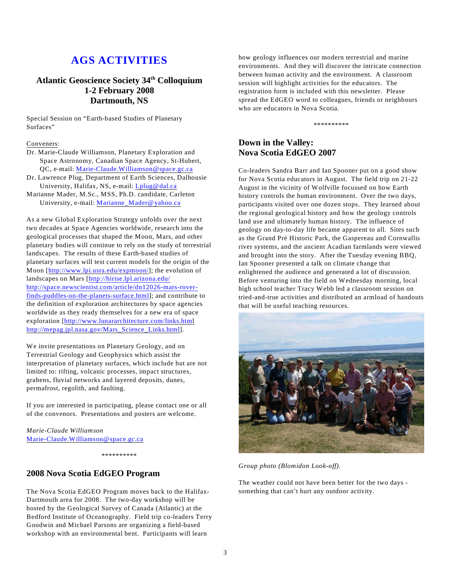## **AGS ACTIVITIES**

#### Atlantic Geoscience Society 34<sup>th</sup> Colloquium **1-2 February 2008 Dartmouth, NS**

Special Session on "Earth-based Studies of Planetary Surfaces"

#### Conveners:

- Dr. Marie-Claude Williamson, Planetary Exploration and Space Astronomy, Canadian Space Agency, St-Hubert, QC, e-mail: [Marie-Claude.Williamson@space.gc.ca](mailto:Marie-Claude.Williamson@space.gc.ca)
- Dr. Lawrence Plug, Department of Earth Sciences, Dalhousie University, Halifax, NS, e-mail: [Lplug@dal.ca](mailto:Lplug@dal.ca)
- Marianne Mader, M.Sc., MSS, Ph.D. candidate, Carleton University, e-mail: [Marianne\\_Mader@yahoo.ca](mailto:Marianne_Mader@yahoo.ca)

As a new Global Exploration Strategy unfolds over the next two decades at Space Agencies worldwide, research into the geological processes that shaped the Moon, Mars, and other planetary bodies will continue to rely on the study of terrestrial landscapes. The results of these Earth-based studies of planetary surfaces will test current models for the origin of the Moon [http://www.lpi.usra.edu/expmoon/]; the evolution of landscapes on Mars [http://hirise.lpl.arizona.edu/ [http://space.newscientist.com/article/dn12026-mars-rover](#page-2-0)[finds-puddles-on-the-planets-surface.html](#page-2-0)]; and contribute to the definition of exploration architectures by space agencies worldwide as they ready themselves for a new era of space exploration [\[http://www.lunararchitecture.com/links.htm](http://[http://www.lunararchitecture.com/links.htm)l [http://mepag.jpl.nasa.gov/Mars\\_Science\\_Links.html](#page-2-0)].

We invite presentations on Planetary Geology, and on Terrestrial Geology and Geophysics which assist the interpretation of planetary surfaces, which include but are not limited to: rifting, volcanic processes, impact structures, grabens, fluvial networks and layered deposits, dunes, permafrost, regolith, and faulting.

If you are interested in participating, please contact one or all of the convenors. Presentations and posters are welcome.

*Marie-Claude Williamson* [Marie-Claude.Williamson@space.gc.ca](mailto:Marie-Claude.Williamson@space.gc.ca)

\*\*\*\*\*\*\*\*\*\*

#### **2008 Nova Scotia EdGEO Program**

<span id="page-2-0"></span>The Nova Scotia EdGEO Program moves back to the Halifax-Dartmouth area for 2008. The two-day workshop will be hosted by the Geological Survey of Canada (Atlantic) at the Bedford Institute of Oceanography. Field trip co-leaders Terry Goodwin and Michael Parsons are organizing a field-based workshop with an environmental bent. Participants will learn

how geology influences our modern terrestrial and marine environments. And they will discover the intricate connection between human activity and the environment. A classroom session will highlight activities for the educators. The registration form is included with this newsletter. Please spread the EdGEO word to colleagues, friends or neighbours who are educators in Nova Scotia.

\*\*\*\*\*\*\*\*\*\*

#### **Down in the Valley: Nova Scotia EdGEO 2007**

Co-leaders Sandra Barr and Ian Spooner put on a good show for Nova Scotia educators in August. The field trip on 21-22 August in the vicinity of Wolfville focussed on how Earth history controls the human environment. Over the two days, participants visited over one dozen stops. They learned about the regional geological history and how the geology controls land use and ultimately human history. The influence of geology on day-to-day life became apparent to all. Sites such as the Grand Pré Historic Park, the Gaspereau and Cornwallis river systems, and the ancient Acadian farmlands were viewed and brought into the story. After the Tuesday evening BBQ, Ian Spooner presented a talk on climate change that enlightened the audience and generated a lot of discussion. Before venturing into the field on Wednesday morning, local high school teacher Tracy Webb led a classroom session on tried-and-true activities and distributed an armload of handouts that will be useful teaching resources.



*Group photo (Blomidon Look-off)*.

The weather could not have been better for the two days something that can't hurt any outdoor activity.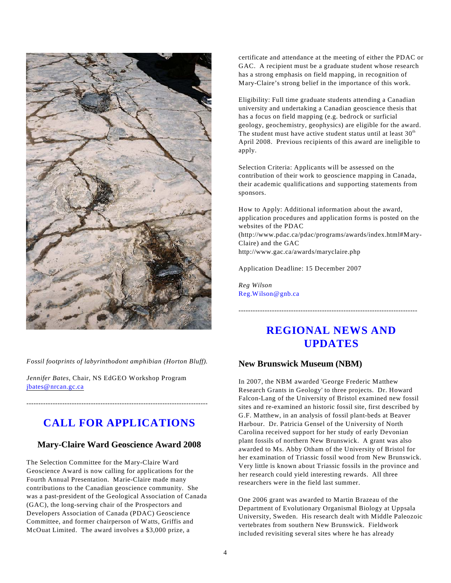

*Fossil footprints of labyrinthodont amphibian (Horton Bluff).*

*Jennifer Bates*, Chair, NS EdGEO Workshop Program [jbates@nrcan.gc.ca](mailto:jbates@nrcan.gc.ca)

## **CALL FOR APPLICATIONS**

----------------------------------------------------------------------------

#### **Mary-Claire Ward Geoscience Award 2008**

The Selection Committee for the Mary-Claire Ward Geoscience Award is now calling for applications for the Fourth Annual Presentation. Marie-Claire made many contributions to the Canadian geoscience community. She was a past-president of the Geological Association of Canada (GAC), the long-serving chair of the Prospectors and Developers Association of Canada (PDAC) Geoscience Committee, and former chairperson of Watts, Griffis and McOuat Limited. The award involves a \$3,000 prize, a

certificate and attendance at the meeting of either the PDAC or GAC. A recipient must be a graduate student whose research has a strong emphasis on field mapping, in recognition of Mary-Claire's strong belief in the importance of this work.

Eligibility: Full time graduate students attending a Canadian university and undertaking a Canadian geoscience thesis that has a focus on field mapping (e.g. bedrock or surficial geology, geochemistry, geophysics) are eligible for the award. The student must have active student status until at least  $30<sup>th</sup>$ April 2008. Previous recipients of this award are ineligible to apply.

Selection Criteria: Applicants will be assessed on the contribution of their work to geoscience mapping in Canada, their academic qualifications and supporting statements from sponsors.

How to Apply: Additional information about the award, application procedures and application forms is posted on the websites of the PDAC (http://www.pdac.ca/pdac/programs/awards/index.html#Mary-Claire) and the GAC http://www.gac.ca/awards/maryclaire.php

Application Deadline: 15 December 2007

*Reg Wilson* [Reg.Wilson@gnb.ca](mailto:Reg.Wilson@gnb.ca)

# **REGIONAL NEWS AND UPDATES**

---------------------------------------------------------------------------

#### **New Brunswick Museum (NBM)**

In 2007, the NBM awarded 'George Frederic Matthew Research Grants in Geology' to three projects. Dr. Howard Falcon-Lang of the University of Bristol examined new fossil sites and re-examined an historic fossil site, first described by G.F. Matthew, in an analysis of fossil plant-beds at Beaver Harbour. Dr. Patricia Gensel of the University of North Carolina received support for her study of early Devonian plant fossils of northern New Brunswick. A grant was also awarded to Ms. Abby Otham of the University of Bristol for her examination of Triassic fossil wood from New Brunswick. Very little is known about Triassic fossils in the province and her research could yield interesting rewards. All three researchers were in the field last summer.

One 2006 grant was awarded to Martin Brazeau of the Department of Evolutionary Organismal Biology at Uppsala University, Sweden. His research dealt with Middle Paleozoic vertebrates from southern New Brunswick. Fieldwork included revisiting several sites where he has already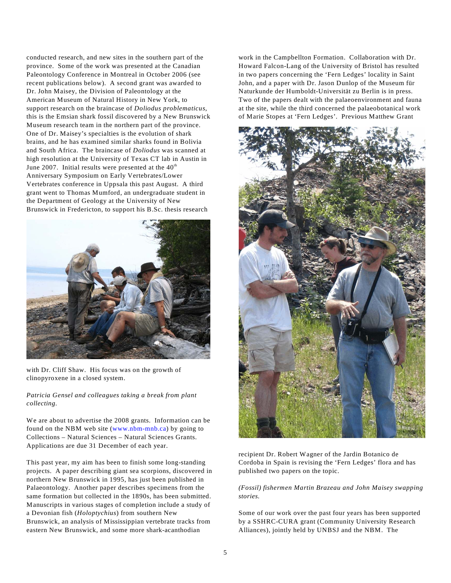conducted research, and new sites in the southern part of the province. Some of the work was presented at the Canadian Paleontology Conference in Montreal in October 2006 (see recent publications below). A second grant was awarded to Dr. John Maisey, the Division of Paleontology at the American Museum of Natural History in New York, to support research on the braincase of *Doliodus problematicus*, this is the Emsian shark fossil discovered by a New Brunswick Museum research team in the northern part of the province. One of Dr. Maisey's specialties is the evolution of shark brains, and he has examined similar sharks found in Bolivia and South Africa. The braincase of *Doliodus* was scanned at high resolution at the University of Texas CT lab in Austin in June 2007. Initial results were presented at the  $40<sup>th</sup>$ Anniversary Symposium on Early Vertebrates/Lower Vertebrates conference in Uppsala this past August. A third grant went to Thomas Mumford, an undergraduate student in the Department of Geology at the University of New Brunswick in Fredericton, to support his B.Sc. thesis research



with Dr. Cliff Shaw. His focus was on the growth of clinopyroxene in a closed system.

*Patricia Gensel and colleagues taking a break from plant collecting.*

We are about to advertise the 2008 grants. Information can be found on the NBM web site [\(www.nbm-mnb.ca](http://www.nbm-mnb.ca/)) by going to Collections – Natural Sciences – Natural Sciences Grants. Applications are due 31 December of each year.

This past year, my aim has been to finish some long-standing projects. A paper describing giant sea scorpions, discovered in northern New Brunswick in 1995, has just been published in Palaeontology. Another paper describes specimens from the same formation but collected in the 1890s, has been submitted. Manuscripts in various stages of completion include a study of a Devonian fish (*Holoptychius*) from southern New Brunswick, an analysis of Mississippian vertebrate tracks from eastern New Brunswick, and some more shark-acanthodian

work in the Campbellton Formation. Collaboration with Dr. Howard Falcon-Lang of the University of Bristol has resulted in two papers concerning the 'Fern Ledges' locality in Saint John, and a paper with Dr. Jason Dunlop of the Museum für Naturkunde der Humboldt-Universität zu Berlin is in press. Two of the papers dealt with the palaeoenvironment and fauna at the site, while the third concerned the palaeobotanical work of Marie Stopes at 'Fern Ledges'. Previous Matthew Grant



recipient Dr. Robert Wagner of the Jardin Botanico de Cordoba in Spain is revising the 'Fern Ledges' flora and has published two papers on the topic.

#### *(Fossil) fishermen Martin Brazeau and John Maisey swapping stories.*

Some of our work over the past four years has been supported by a SSHRC-CURA grant (Community University Research Alliances), jointly held by UNBSJ and the NBM. The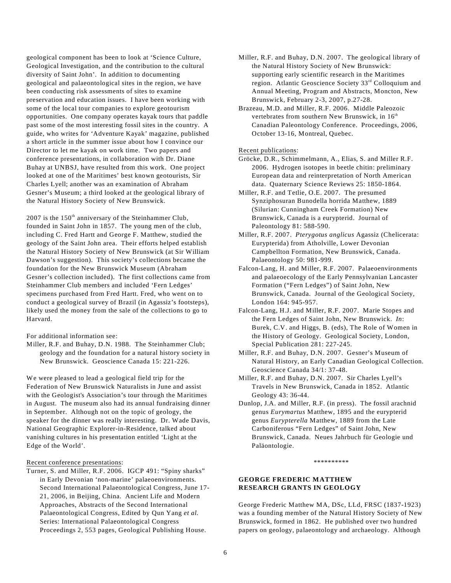geological component has been to look at 'Science Culture, Geological Investigation, and the contribution to the cultural diversity of Saint John'. In addition to documenting geological and palaeontological sites in the region, we have been conducting risk assessments of sites to examine preservation and education issues. I have been working with some of the local tour companies to explore geotourism opportunities. One company operates kayak tours that paddle past some of the most interesting fossil sites in the country. A guide, who writes for 'Adventure Kayak' magazine, published a short article in the summer issue about how I convince our Director to let me kayak on work time. Two papers and conference presentations, in collaboration with Dr. Diane Buhay at UNBSJ, have resulted from this work. One project looked at one of the Maritimes' best known geotourists, Sir Charles Lyell; another was an examination of Abraham Gesner's Museum; a third looked at the geological library of the Natural History Society of New Brunswick.

 $2007$  is the  $150<sup>th</sup>$  anniversary of the Steinhammer Club, founded in Saint John in 1857. The young men of the club, including C. Fred Hartt and George F. Matthew, studied the geology of the Saint John area. Their efforts helped establish the Natural History Society of New Brunswick (at Sir William Dawson's suggestion). This society's collections became the foundation for the New Brunswick Museum (Abraham Gesner's collection included). The first collections came from Steinhammer Club members and included 'Fern Ledges' specimens purchased from Fred Hartt. Fred, who went on to conduct a geological survey of Brazil (in Agassiz's footsteps), likely used the money from the sale of the collections to go to Harvard.

For additional information see:

Miller, R.F. and Buhay, D.N. 1988. The Steinhammer Club; geology and the foundation for a natural history society in New Brunswick. Geoscience Canada 15: 221-226.

We were pleased to lead a geological field trip for the Federation of New Brunswick Naturalists in June and assist with the Geologist's Association's tour through the Maritimes in August. The museum also had its annual fundraising dinner in September. Although not on the topic of geology, the speaker for the dinner was really interesting. Dr. Wade Davis, National Geographic Explorer-in-Residence, talked about vanishing cultures in his presentation entitled 'Light at the Edge of the World'.

#### Recent conference presentations:

Turner, S. and Miller, R.F. 2006. IGCP 491: "Spiny sharks" in Early Devonian 'non-marine' palaeoenvironments. Second International Palaeontological Congress, June 17- 21, 2006, in Beijing, China. Ancient Life and Modern Approaches, Abstracts of the Second International Palaeontological Congress, Edited by Qun Yang *et al.* Series: International Palaeontological Congress Proceedings 2, 553 pages, Geological Publishing House.

Miller, R.F. and Buhay, D.N. 2007. The geological library of the Natural History Society of New Brunswick: supporting early scientific research in the Maritimes region. Atlantic Geoscience Society 33<sup>rd</sup> Colloquium and Annual Meeting, Program and Abstracts, Moncton, New Brunswick, February 2-3, 2007, p.27-28.

Brazeau, M.D. and Miller, R.F. 2006. Middle Paleozoic vertebrates from southern New Brunswick, in  $16<sup>th</sup>$ Canadian Paleontology Conference. Proceedings, 2006, October 13-16, Montreal, Quebec.

#### Recent publications:

- Gröcke, D.R., Schimmelmann, A., Elias, S. and Miller R.F. 2006. Hydrogen isotopes in beetle chitin: preliminary European data and reinterpretation of North American data. Quaternary Science Reviews 25: 1850-1864.
- Miller, R.F. and Tetlie, O.E. 2007. The presumed Synziphosuran Bunodella horrida Matthew, 1889 (Silurian: Cunningham Creek Formation) New Brunswick, Canada is a eurypterid. Journal of Paleontology 81: 588-590.
- Miller, R.F. 2007. *Pterygotus anglicus* Agassiz (Chelicerata: Eurypterida) from Atholville, Lower Devonian Campbellton Formation, New Brunswick, Canada. Palaeontology 50: 981-999.
- Falcon-Lang, H. and Miller, R.F. 2007. Palaeoenvironments and palaeoecology of the Early Pennsylvanian Lancaster Formation ("Fern Ledges") of Saint John, New Brunswick, Canada. Journal of the Geological Society, London 164: 945-957.
- Falcon-Lang, H.J. and Miller, R.F. 2007. Marie Stopes and the Fern Ledges of Saint John, New Brunswick. *In*: Burek, C.V. and Higgs, B. (eds), The Role of Women in the History of Geology. Geological Society, London, Special Publication 281: 227-245.
- Miller, R.F. and Buhay, D.N. 2007. Gesner's Museum of Natural History, an Early Canadian Geological Collection. Geoscience Canada 34/1: 37-48.
- Miller, R.F. and Buhay, D.N. 2007. Sir Charles Lyell's Travels in New Brunswick, Canada in 1852. Atlantic Geology 43: 36-44.
- Dunlop, J.A. and Miller, R.F. (in press). The fossil arachnid genus *Eurymartus* Matthew, 1895 and the eurypterid genus *Eurypterella* Matthew, 1889 from the Late Carboniferous "Fern Ledges" of Saint John, New Brunswick, Canada. Neues Jahrbuch für Geologie und Paläontologie.

\*\*\*\*\*\*\*\*\*\*

#### **GEORGE FREDERIC MATTHEW RESEARCH GRANTS IN GEOLOGY**

George Frederic Matthew MA, DSc, LLd, FRSC (1837-1923) was a founding member of the Natural History Society of New Brunswick, formed in 1862. He published over two hundred papers on geology, palaeontology and archaeology. Although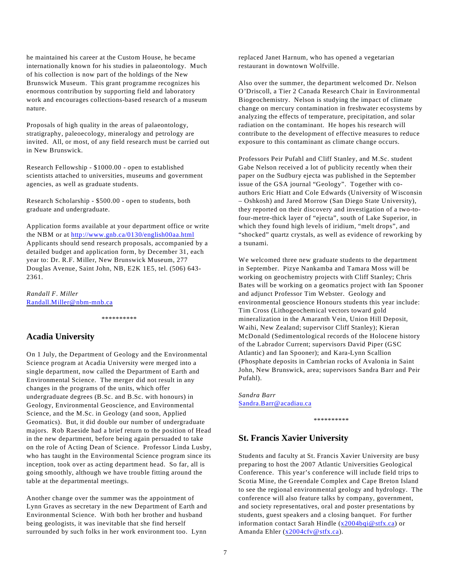he maintained his career at the Custom House, he became internationally known for his studies in palaeontology. Much of his collection is now part of the holdings of the New Brunswick Museum. This grant programme recognizes his enormous contribution by supporting field and laboratory work and encourages collections-based research of a museum nature.

Proposals of high quality in the areas of palaeontology, stratigraphy, paleoecology, mineralogy and petrology are invited. All, or most, of any field research must be carried out in New Brunswick.

Research Fellowship - \$1000.00 - open to established scientists attached to universities, museums and government agencies, as well as graduate students.

Research Scholarship - \$500.00 - open to students, both graduate and undergraduate.

Application forms available at your department office or write the NBM or at [http://www.gnb.ca/0130/english00aa.html](http://www.gnb.ca?0130/00aa.html) Applicants should send research proposals, accompanied by a detailed budget and application form, by December 31, each year to: Dr. R.F. Miller, New Brunswick Museum, 277 Douglas Avenue, Saint John, NB, E2K 1E5, tel. (506) 643- 2361.

*Randall F. Miller* [Randall.Miller@nbm-mnb.ca](mailto:Randall.Miller@nbm-mnb.ca)

\*\*\*\*\*\*\*\*\*\*

#### **Acadia University**

On 1 July, the Department of Geology and the Environmental Science program at Acadia University were merged into a single department, now called the Department of Earth and Environmental Science. The merger did not result in any changes in the programs of the units, which offer undergraduate degrees (B.Sc. and B.Sc. with honours) in Geology, Environmental Geoscience, and Environmental Science, and the M.Sc. in Geology (and soon, Applied Geomatics). But, it did double our number of undergraduate majors. Rob Raeside had a brief return to the position of Head in the new department, before being again persuaded to take on the role of Acting Dean of Science. Professor Linda Lusby, who has taught in the Environmental Science program since its inception, took over as acting department head. So far, all is going smoothly, although we have trouble fitting around the table at the departmental meetings.

Another change over the summer was the appointment of Lynn Graves as secretary in the new Department of Earth and Environmental Science. With both her brother and husband being geologists, it was inevitable that she find herself surrounded by such folks in her work environment too. Lynn replaced Janet Harnum, who has opened a vegetarian restaurant in downtown Wolfville.

Also over the summer, the department welcomed Dr. Nelson O'Driscoll, a Tier 2 Canada Research Chair in Environmental Biogeochemistry. Nelson is studying the impact of climate change on mercury contamination in freshwater ecosystems by analyzing the effects of temperature, precipitation, and solar radiation on the contaminant. He hopes his research will contribute to the development of effective measures to reduce exposure to this contaminant as climate change occurs.

Professors Peir Pufahl and Cliff Stanley, and M.Sc. student Gabe Nelson received a lot of publicity recently when their paper on the Sudbury ejecta was published in the September issue of the GSA journal "Geology". Together with coauthors Eric Hiatt and Cole Edwards (University of Wisconsin – Oshkosh) and Jared Morrow (San Diego State University), they reported on their discovery and investigation of a two-tofour-metre-thick layer of "ejecta", south of Lake Superior, in which they found high levels of iridium, "melt drops", and "shocked" quartz crystals, as well as evidence of reworking by a tsunami.

We welcomed three new graduate students to the department in September. Pizye Nankamba and Tamara Moss will be working on geochemistry projects with Cliff Stanley; Chris Bates will be working on a geomatics project with Ian Spooner and adjunct Professor Tim Webster. Geology and environmental geoscience Honours students this year include: Tim Cross (Lithogeochemical vectors toward gold mineralization in the Amaranth Vein, Union Hill Deposit, Waihi, New Zealand; supervisor Cliff Stanley); Kieran McDonald (Sedimentological records of the Holocene history of the Labrador Current; supervisors David Piper (GSC Atlantic) and Ian Spooner); and Kara-Lynn Scallion (Phosphate deposits in Cambrian rocks of Avalonia in Saint John, New Brunswick, area; supervisors Sandra Barr and Peir Pufahl).

*Sandra Barr* [Sandra.Barr@acadiau.ca](mailto:Sandra.Barr@acadiau.ca)

\*\*\*\*\*\*\*\*\*\*

#### **St. Francis Xavier University**

Students and faculty at St. Francis Xavier University are busy preparing to host the 2007 Atlantic Universities Geological Conference. This year's conference will include field trips to Scotia Mine, the Greendale Complex and Cape Breton Island to see the regional environmental geology and hydrology. The conference will also feature talks by company, government, and society representatives, oral and poster presentations by students, guest speakers and a closing banquet. For further information contact Sarah Hindle [\(x2004bqi@stfx.ca](mailto:x2004bqi@stfx.ca)) or Amanda Ehler [\(x2004cfv@stfx.ca](mailto:x2004cfv@stfx.ca)).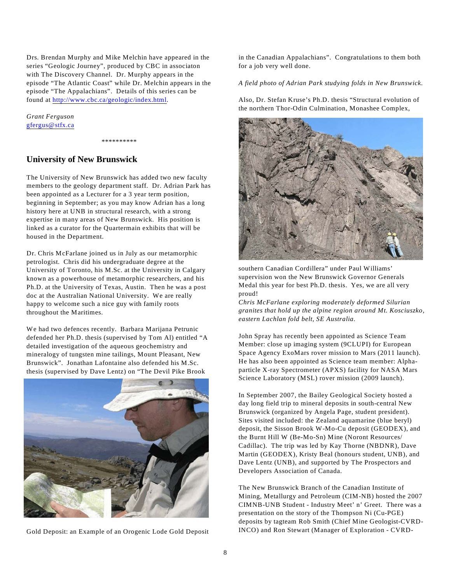Drs. Brendan Murphy and Mike Melchin have appeared in the series "Geologic Journey", produced by CBC in associaton with The Discovery Channel. Dr. Murphy appears in the episode "The Atlantic Coast" while Dr. Melchin appears in the episode "The Appalachians". Details of this series can be found at<http://www.cbc.ca/geologic/index.html>.

*Grant Ferguson* [gfergus@stfx.ca](mailto:gfergus@stfx.ca)

\*\*\*\*\*\*\*\*\*\*

#### **University of New Brunswick**

The University of New Brunswick has added two new faculty members to the geology department staff. Dr. Adrian Park has been appointed as a Lecturer for a 3 year term position, beginning in September; as you may know Adrian has a long history here at UNB in structural research, with a strong expertise in many areas of New Brunswick. His position is linked as a curator for the Quartermain exhibits that will be housed in the Department.

Dr. Chris McFarlane joined us in July as our metamorphic petrologist. Chris did his undergraduate degree at the University of Toronto, his M.Sc. at the University in Calgary known as a powerhouse of metamorphic researchers, and his Ph.D. at the University of Texas, Austin. Then he was a post doc at the Australian National University. We are really happy to welcome such a nice guy with family roots throughout the Maritimes.

We had two defences recently. Barbara Marijana Petrunic defended her Ph.D. thesis (supervised by Tom Al) entitled "A detailed investigation of the aqueous geochemistry and mineralogy of tungsten mine tailings, Mount Pleasant, New Brunswick". Jonathan Lafontaine also defended his M.Sc. thesis (supervised by Dave Lentz) on "The Devil Pike Brook



Gold Deposit: an Example of an Orogenic Lode Gold Deposit

in the Canadian Appalachians". Congratulations to them both for a job very well done.

*A field photo of Adrian Park studying folds in New Brunswick.*

Also, Dr. Stefan Kruse's Ph.D. thesis "Structural evolution of the northern Thor-Odin Culmination, Monashee Complex,



southern Canadian Cordillera" under Paul Williams' supervision won the New Brunswick Governor Generals Medal this year for best Ph.D. thesis. Yes, we are all very proud!

*Chris McFarlane exploring moderately deformed Silurian granites that hold up the alpine region around Mt. Kosciuszko, eastern Lachlan fold belt, SE Australia.*

John Spray has recently been appointed as Science Team Member: close up imaging system (9CLUPI) for European Space Agency ExoMars rover mission to Mars (2011 launch). He has also been appointed as Science team member: Alphaparticle X-ray Spectrometer (APXS) facility for NASA Mars Science Laboratory (MSL) rover mission (2009 launch).

In September 2007, the Bailey Geological Society hosted a day long field trip to mineral deposits in south-central New Brunswick (organized by Angela Page, student president). Sites visited included: the Zealand aquamarine (blue beryl) deposit, the Sisson Brook W-Mo-Cu deposit (GEODEX), and the Burnt Hill W (Be-Mo-Sn) Mine (Noront Resources/ Cadillac). The trip was led by Kay Thorne (NBDNR), Dave Martin (GEODEX), Kristy Beal (honours student, UNB), and Dave Lentz (UNB), and supported by The Prospectors and Developers Association of Canada.

The New Brunswick Branch of the Canadian Institute of Mining, Metallurgy and Petroleum (CIM-NB) hosted the 2007 CIMNB-UNB Student - Industry Meet' n' Greet. There was a presentation on the story of the Thompson Ni (Cu-PGE) deposits by tagteam Rob Smith (Chief Mine Geologist-CVRD-INCO) and Ron Stewart (Manager of Exploration - CVRD-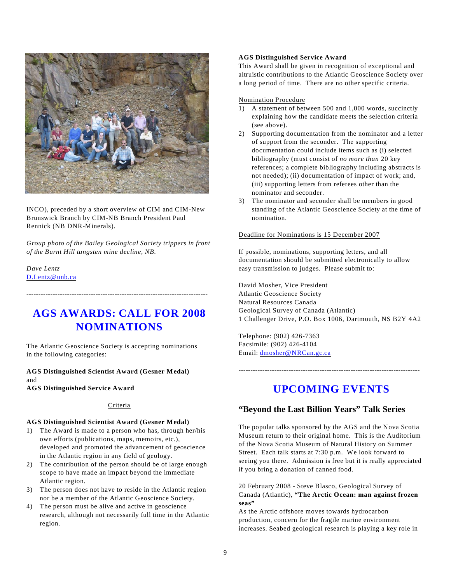

INCO), preceded by a short overview of CIM and CIM-New Brunswick Branch by CIM-NB Branch President Paul Rennick (NB DNR-Minerals).

*Group photo of the Bailey Geological Society trippers in front of the Burnt Hill tungsten mine decline, NB.*

#### *Dave Lentz* [D.Lentz@unb.ca](mailto:D.Lentz@unb.ca)

**AGS AWARDS: CALL FOR 2008 NOMINATIONS**

----------------------------------------------------------------------------

The Atlantic Geoscience Society is accepting nominations in the following categories:

**AGS Distinguished Scientist Award (Gesner Medal)** and

**AGS Distinguished Service Award**

#### Criteria

#### **AGS Distinguished Scientist Award (Gesner Medal)**

- 1) The Award is made to a person who has, through her/his own efforts (publications, maps, memoirs, etc.), developed and promoted the advancement of geoscience in the Atlantic region in any field of geology.
- 2) The contribution of the person should be of large enough scope to have made an impact beyond the immediate Atlantic region.
- 3) The person does not have to reside in the Atlantic region nor be a member of the Atlantic Geoscience Society.
- 4) The person must be alive and active in geoscience research, although not necessarily full time in the Atlantic region.

#### **AGS Distinguished Service Award**

This Award shall be given in recognition of exceptional and altruistic contributions to the Atlantic Geoscience Society over a long period of time. There are no other specific criteria.

#### Nomination Procedure

- 1) A statement of between 500 and 1,000 words, succinctly explaining how the candidate meets the selection criteria (see above).
- 2) Supporting documentation from the nominator and a letter of support from the seconder. The supporting documentation could include items such as (i) selected bibliography (must consist of *no more than* 20 key references; a complete bibliography including abstracts is not needed); (ii) documentation of impact of work; and, (iii) supporting letters from referees other than the nominator and seconder.
- 3) The nominator and seconder shall be members in good standing of the Atlantic Geoscience Society at the time of nomination.

#### Deadline for Nominations is 15 December 2007

If possible, nominations, supporting letters, and all documentation should be submitted electronically to allow easy transmission to judges. Please submit to:

David Mosher, Vice President Atlantic Geoscience Society Natural Resources Canada Geological Survey of Canada (Atlantic) 1 Challenger Drive, P.O. Box 1006, Dartmouth, NS B2Y 4A2

Telephone: (902) 426-7363 Facsimile: (902) 426-4104 Email: [dmosher@NRCan.gc.ca](mailto:dmosher@NRCan.gc.ca)

**UPCOMING EVENTS**

----------------------------------------------------------------------------

#### **"Beyond the Last Billion Years" Talk Series**

The popular talks sponsored by the AGS and the Nova Scotia Museum return to their original home. This is the Auditorium of the Nova Scotia Museum of Natural History on Summer Street. Each talk starts at 7:30 p.m. We look forward to seeing you there. Admission is free but it is really appreciated if you bring a donation of canned food.

20 February 2008 - Steve Blasco, Geological Survey of Canada (Atlantic), **"The Arctic Ocean: man against frozen seas"**

As the Arctic offshore moves towards hydrocarbon production, concern for the fragile marine environment increases. Seabed geological research is playing a key role in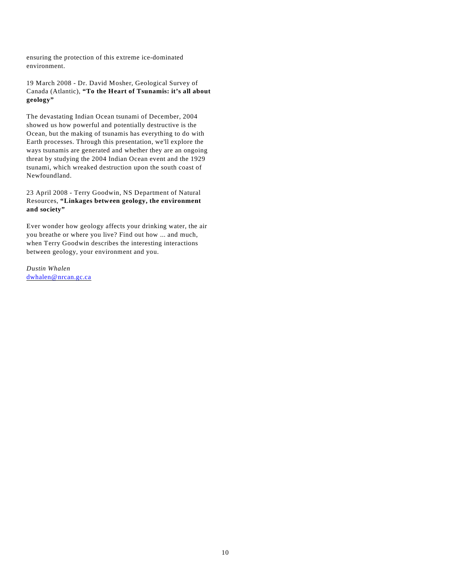ensuring the protection of this extreme ice-dominated environment.

19 March 2008 - Dr. David Mosher, Geological Survey of Canada (Atlantic), **"To the Heart of Tsunamis: it's all about geology"**

The devastating Indian Ocean tsunami of December, 2004 showed us how powerful and potentially destructive is the Ocean, but the making of tsunamis has everything to do with Earth processes. Through this presentation, we'll explore the ways tsunamis are generated and whether they are an ongoing threat by studying the 2004 Indian Ocean event and the 1929 tsunami, which wreaked destruction upon the south coast of Newfoundland.

23 April 2008 - Terry Goodwin, NS Department of Natural Resources, **"Linkages between geology, the environment and society"**

Ever wonder how geology affects your drinking water, the air you breathe or where you live? Find out how ... and much, when Terry Goodwin describes the interesting interactions between geology, your environment and you.

*Dustin Whalen* [dwhalen@nrcan.gc.ca](mailto:dwhalen@nrcan.gc.ca)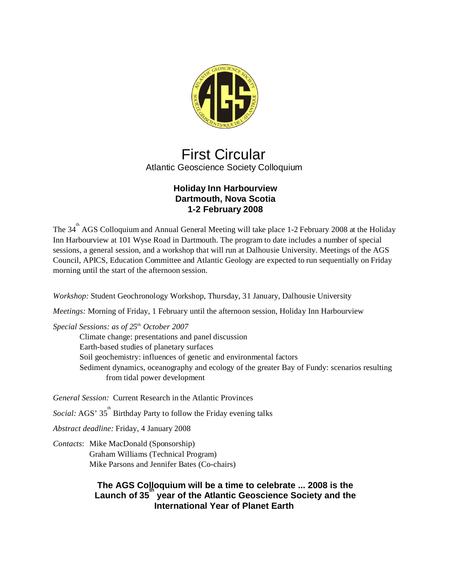

# First Circular Atlantic Geoscience Society Colloquium

### **Holiday Inn Harbourview Dartmouth, Nova Scotia 1-2 February 2008**

The 34<sup>th</sup> AGS Colloquium and Annual General Meeting will take place 1-2 February 2008 at the Holiday Inn Harbourview at 101 Wyse Road in Dartmouth. The program to date includes a number of special sessions, a general session, and a workshop that will run at Dalhousie University. Meetings of the AGS Council, APICS, Education Committee and Atlantic Geology are expected to run sequentially on Friday morning until the start of the afternoon session.

*Workshop:* Student Geochronology Workshop, Thursday, 31 January, Dalhousie University

*Meetings:* Morning of Friday, 1 February until the afternoon session, Holiday Inn Harbourview

*Special Sessions: as of 25th October 2007*

Climate change: presentations and panel discussion Earth-based studies of planetary surfaces Soil geochemistry: influences of genetic and environmental factors Sediment dynamics, oceanography and ecology of the greater Bay of Fundy: scenarios resulting from tidal power development

*General Session:* Current Research in the Atlantic Provinces

Social: AGS' 35<sup>th</sup> Birthday Party to follow the Friday evening talks

*Abstract deadline:* Friday, 4 January 2008

*Contacts*: Mike MacDonald (Sponsorship) Graham Williams (Technical Program) Mike Parsons and Jennifer Bates (Co-chairs)

> **The AGS Colloquium will be a time to celebrate ... 2008 is the Launch of 35 th year of the Atlantic Geoscience Society and the International Year of Planet Earth**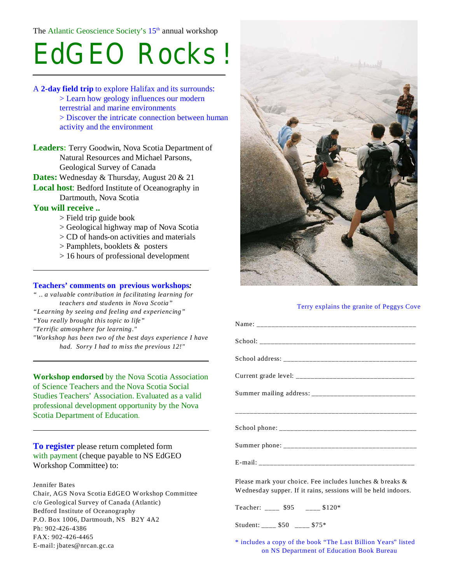The Atlantic Geoscience Society's  $15<sup>th</sup>$  annual workshop

# EdGEO Rocks !

- A **2-day field trip** to explore Halifax and its surrounds: > Learn how geology influences our modern terrestrial and marine environments > Discover the intricate connection between human activity and the environment
- **Leaders:** Terry Goodwin, Nova Scotia Department of Natural Resources and Michael Parsons, Geological Survey of Canada
- **Dates:** Wednesday & Thursday, August 20 & 21
- **Local host**: Bedford Institute of Oceanography in Dartmouth, Nova Scotia

#### **You will receive ..**

- > Field trip guide book
- > Geological highway map of Nova Scotia
- > CD of hands-on activities and materials
- > Pamphlets, booklets & posters
- > 16 hours of professional development

#### **Teachers' comments on previous workshops***:*

- *" .. a valuable contribution in facilitating learning for teachers and students in Nova Scotia"*
- *"Learning by seeing and feeling and experiencing"*
- *"You really brought this topic to life"*
- *"Terrific atmosphere for learning."*
- *"Workshop has been two of the best days experience I have had. Sorry I had to miss the previous 12!"*

**Workshop endorsed** by the Nova Scotia Association of Science Teachers and the Nova Scotia Social Studies Teachers' Association. Evaluated as a valid professional development opportunity by the Nova Scotia Department of Education.

**To register** please return completed form with payment (cheque payable to NS EdGEO Workshop Committee) to:

Jennifer Bates

Chair, AGS Nova Scotia EdGEO W orkshop Committee c/o Geological Survey of Canada (Atlantic) Bedford Institute of Oceanography P.O. Box 1006, Dartmouth, NS B2Y 4A2 Ph: 902-426-4386 FAX: 902-426-4465 E-mail: jbates@nrcan.gc.ca



#### Terry explains the granite of Peggys Cove

Please mark your choice. Fee includes lunches & breaks & Wednesday supper. If it rains, sessions will be held indoors.

Teacher:  $\frac{1}{2}$  \$95  $\frac{1}{20^{*}}$ 

Student: \_\_\_\_ \$50 \_\_\_\_ \$75\*

\* includes a copy of the book "The Last Billion Years" listed on NS Department of Education Book Bureau